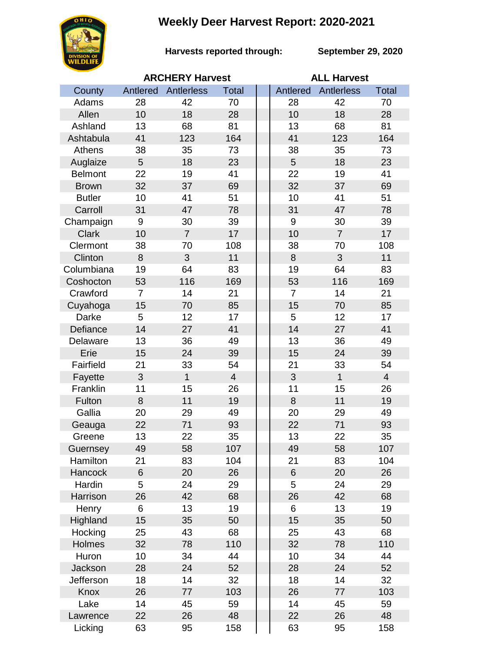## **Weekly Deer Harvest Report: 2020-2021**



**Harvests reported through:** 

**September 29, 2020**

|                | <b>ARCHERY Harvest</b> |                |                |  | <b>ALL Harvest</b> |                |                |  |
|----------------|------------------------|----------------|----------------|--|--------------------|----------------|----------------|--|
| County         | Antlered               | Antlerless     | <b>Total</b>   |  | Antlered           | Antlerless     | <b>Total</b>   |  |
| Adams          | 28                     | 42             | 70             |  | 28                 | 42             | 70             |  |
| Allen          | 10                     | 18             | 28             |  | 10                 | 18             | 28             |  |
| Ashland        | 13                     | 68             | 81             |  | 13                 | 68             | 81             |  |
| Ashtabula      | 41                     | 123            | 164            |  | 41                 | 123            | 164            |  |
| Athens         | 38                     | 35             | 73             |  | 38                 | 35             | 73             |  |
| Auglaize       | 5                      | 18             | 23             |  | 5                  | 18             | 23             |  |
| <b>Belmont</b> | 22                     | 19             | 41             |  | 22                 | 19             | 41             |  |
| <b>Brown</b>   | 32                     | 37             | 69             |  | 32                 | 37             | 69             |  |
| <b>Butler</b>  | 10                     | 41             | 51             |  | 10                 | 41             | 51             |  |
| Carroll        | 31                     | 47             | 78             |  | 31                 | 47             | 78             |  |
| Champaign      | 9                      | 30             | 39             |  | 9                  | 30             | 39             |  |
| <b>Clark</b>   | 10                     | $\overline{7}$ | 17             |  | 10                 | $\overline{7}$ | 17             |  |
| Clermont       | 38                     | 70             | 108            |  | 38                 | 70             | 108            |  |
| Clinton        | 8                      | 3              | 11             |  | 8                  | 3              | 11             |  |
| Columbiana     | 19                     | 64             | 83             |  | 19                 | 64             | 83             |  |
| Coshocton      | 53                     | 116            | 169            |  | 53                 | 116            | 169            |  |
| Crawford       | $\overline{7}$         | 14             | 21             |  | $\overline{7}$     | 14             | 21             |  |
| Cuyahoga       | 15                     | 70             | 85             |  | 15                 | 70             | 85             |  |
| Darke          | 5                      | 12             | 17             |  | 5                  | 12             | 17             |  |
| Defiance       | 14                     | 27             | 41             |  | 14                 | 27             | 41             |  |
| Delaware       | 13                     | 36             | 49             |  | 13                 | 36             | 49             |  |
| Erie           | 15                     | 24             | 39             |  | 15                 | 24             | 39             |  |
| Fairfield      | 21                     | 33             | 54             |  | 21                 | 33             | 54             |  |
| Fayette        | 3                      | $\mathbf{1}$   | $\overline{4}$ |  | 3                  | $\mathbf{1}$   | $\overline{4}$ |  |
| Franklin       | 11                     | 15             | 26             |  | 11                 | 15             | 26             |  |
| Fulton         | 8                      | 11             | 19             |  | 8                  | 11             | 19             |  |
| Gallia         | 20                     | 29             | 49             |  | 20                 | 29             | 49             |  |
| Geauga         | 22                     | 71             | 93             |  | 22                 | 71             | 93             |  |
| Greene         | 13                     | 22             | 35             |  | 13                 | 22             | 35             |  |
| Guernsey       | 49                     | 58             | 107            |  | 49                 | 58             | 107            |  |
| Hamilton       | 21                     | 83             | 104            |  | 21                 | 83             | 104            |  |
| Hancock        | 6                      | 20             | 26             |  | 6                  | 20             | 26             |  |
| Hardin         | 5                      | 24             | 29             |  | 5                  | 24             | 29             |  |
| Harrison       | 26                     | 42             | 68             |  | 26                 | 42             | 68             |  |
| Henry          | 6                      | 13             | 19             |  | 6                  | 13             | 19             |  |
| Highland       | 15                     | 35             | 50             |  | 15                 | 35             | 50             |  |
| Hocking        | 25                     | 43             | 68             |  | 25                 | 43             | 68             |  |
| Holmes         | 32                     | 78             | 110            |  | 32                 | 78             | 110            |  |
| Huron          | 10                     | 34             | 44             |  | 10                 | 34             | 44             |  |
| Jackson        | 28                     | 24             | 52             |  | 28                 | 24             | 52             |  |
| Jefferson      | 18                     | 14             | 32             |  | 18                 | 14             | 32             |  |
| Knox           | 26                     | 77             | 103            |  | 26                 | 77             | 103            |  |
| Lake           | 14                     | 45             | 59             |  | 14                 | 45             | 59             |  |
| Lawrence       | 22                     | 26             | 48             |  | 22                 | 26             | 48             |  |
| Licking        | 63                     | 95             | 158            |  | 63                 | 95             | 158            |  |